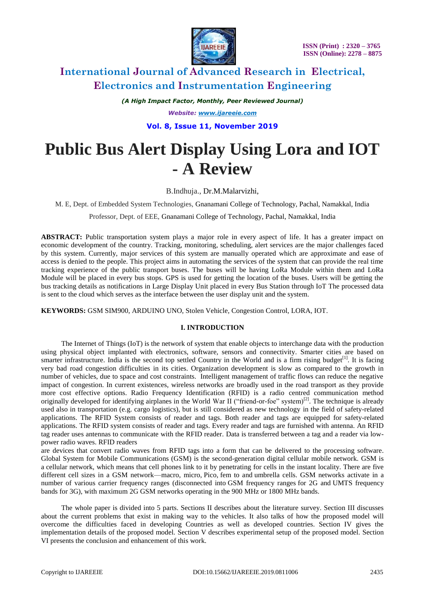

*(A High Impact Factor, Monthly, Peer Reviewed Journal) Website: [www.ijareeie.com](http://www.ijareeie.com/)*

**Vol. 8, Issue 11, November 2019**

# **Public Bus Alert Display Using Lora and IOT - A Review**

B.Indhuja., Dr.M.Malarvizhi,

M. E, Dept. of Embedded System Technologies, Gnanamani College of Technology, Pachal, Namakkal, India

Professor, Dept. of EEE, Gnanamani College of Technology, Pachal, Namakkal, India

**ABSTRACT:** Public transportation system plays a major role in every aspect of life. It has a greater impact on economic development of the country. Tracking, monitoring, scheduling, alert services are the major challenges faced by this system. Currently, major services of this system are manually operated which are approximate and ease of access is denied to the people. This project aims in automating the services of the system that can provide the real time tracking experience of the public transport buses. The buses will be having LoRa Module within them and LoRa Module will be placed in every bus stops. GPS is used for getting the location of the buses. Users will be getting the bus tracking details as notifications in Large Display Unit placed in every Bus Station through IoT The processed data is sent to the cloud which serves as the interface between the user display unit and the system.

**KEYWORDS:** GSM SIM900, ARDUINO UNO, Stolen Vehicle, Congestion Control, LORA, IOT.

### **I. INTRODUCTION**

The Internet of Things (IoT) is the network of system that enable objects to interchange data with the production using physical object implanted with electronics, software, sensors and connectivity. Smarter cities are based on smarter infrastructure. India is the second top settled Country in the World and is a firm rising budget<sup>[1]</sup>. It is facing very bad road congestion difficulties in its cities. Organization development is slow as compared to the growth in number of vehicles, due to space and cost constraints. Intelligent management of traffic flows can reduce the negative impact of congestion. In current existences, wireless networks are broadly used in the road transport as they provide more cost effective options. Radio Frequency Identification (RFID) is a radio centred communication method originally developed for identifying airplanes in the World War II ("friend-or-foe" system) $^{[2]}$ . The technique is already used also in transportation (e.g. cargo logistics), but is still considered as new technology in the field of safety-related applications. The RFID System consists of reader and tags. Both reader and tags are equipped for safety-related applications. The RFID system consists of reader and tags. Every reader and tags are furnished with antenna. An RFID tag reader uses antennas to communicate with the RFID reader. Data is transferred between a tag and a reader via lowpower radio waves. RFID readers

are devices that convert radio waves from RFID tags into a form that can be delivered to the processing software. Global System for Mobile Communications (GSM) is the second-generation digital cellular mobile network. GSM is a cellular network, which means that cell phones link to it by penetrating for cells in the instant locality. There are five different cell sizes in a GSM network—macro, micro, Pico, fem to and umbrella cells. GSM networks activate in a number of various carrier frequency ranges (disconnected into GSM frequency ranges for 2G and UMTS frequency bands for 3G), with maximum 2G GSM networks operating in the 900 MHz or 1800 MHz bands.

The whole paper is divided into 5 parts. Sections II describes about the literature survey. Section III discusses about the current problems that exist in making way to the vehicles. It also talks of how the proposed model will overcome the difficulties faced in developing Countries as well as developed countries. Section IV gives the implementation details of the proposed model. Section V describes experimental setup of the proposed model. Section VI presents the conclusion and enhancement of this work.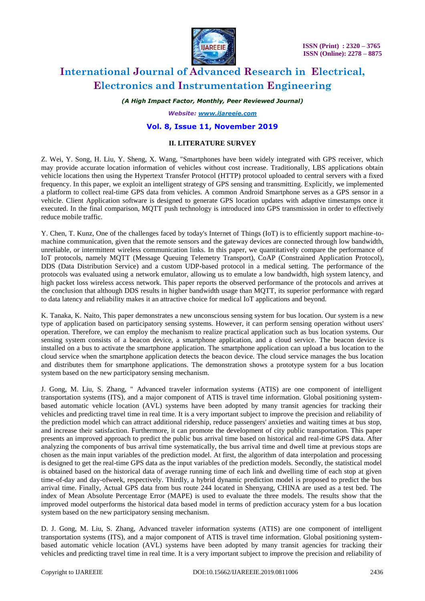

*(A High Impact Factor, Monthly, Peer Reviewed Journal)*

*Website: [www.ijareeie.com](http://www.ijareeie.com/)*

#### **Vol. 8, Issue 11, November 2019**

#### **II. LITERATURE SURVEY**

Z. Wei, Y. Song, H. Liu, Y. Sheng, X. Wang, "Smartphones have been widely integrated with GPS receiver, which may provide accurate location information of vehicles without cost increase. Traditionally, LBS applications obtain vehicle locations then using the Hypertext Transfer Protocol (HTTP) protocol uploaded to central servers with a fixed frequency. In this paper, we exploit an intelligent strategy of GPS sensing and transmitting. Explicitly, we implemented a platform to collect real-time GPS data from vehicles. A common Android Smartphone serves as a GPS sensor in a vehicle. Client Application software is designed to generate GPS location updates with adaptive timestamps once it executed. In the final comparison, MQTT push technology is introduced into GPS transmission in order to effectively reduce mobile traffic.

Y. Chen, T. Kunz, One of the challenges faced by today's Internet of Things (IoT) is to efficiently support machine-tomachine communication, given that the remote sensors and the gateway devices are connected through low bandwidth, unreliable, or intermittent wireless communication links. In this paper, we quantitatively compare the performance of IoT protocols, namely MQTT (Message Queuing Telemetry Transport), CoAP (Constrained Application Protocol), DDS (Data Distribution Service) and a custom UDP-based protocol in a medical setting. The performance of the protocols was evaluated using a network emulator, allowing us to emulate a low bandwidth, high system latency, and high packet loss wireless access network. This paper reports the observed performance of the protocols and arrives at the conclusion that although DDS results in higher bandwidth usage than MQTT, its superior performance with regard to data latency and reliability makes it an attractive choice for medical IoT applications and beyond.

K. Tanaka, K. Naito, This paper demonstrates a new unconscious sensing system for bus location. Our system is a new type of application based on participatory sensing systems. However, it can perform sensing operation without users' operation. Therefore, we can employ the mechanism to realize practical application such as bus location systems. Our sensing system consists of a beacon device, a smartphone application, and a cloud service. The beacon device is installed on a bus to activate the smartphone application. The smartphone application can upload a bus location to the cloud service when the smartphone application detects the beacon device. The cloud service manages the bus location and distributes them for smartphone applications. The demonstration shows a prototype system for a bus location system based on the new participatory sensing mechanism.

J. Gong, M. Liu, S. Zhang, " Advanced traveler information systems (ATIS) are one component of intelligent transportation systems (ITS), and a major component of ATIS is travel time information. Global positioning systembased automatic vehicle location (AVL) systems have been adopted by many transit agencies for tracking their vehicles and predicting travel time in real time. It is a very important subject to improve the precision and reliability of the prediction model which can attract additional ridership, reduce passengers' anxieties and waiting times at bus stop, and increase their satisfaction. Furthermore, it can promote the development of city public transportation. This paper presents an improved approach to predict the public bus arrival time based on historical and real-time GPS data. After analyzing the components of bus arrival time systematically, the bus arrival time and dwell time at previous stops are chosen as the main input variables of the prediction model. At first, the algorithm of data interpolation and processing is designed to get the real-time GPS data as the input variables of the prediction models. Secondly, the statistical model is obtained based on the historical data of average running time of each link and dwelling time of each stop at given time-of-day and day-ofweek, respectively. Thirdly, a hybrid dynamic prediction model is proposed to predict the bus arrival time. Finally, Actual GPS data from bus route 244 located in Shenyang, CHINA are used as a test bed. The index of Mean Absolute Percentage Error (MAPE) is used to evaluate the three models. The results show that the improved model outperforms the historical data based model in terms of prediction accuracy ystem for a bus location system based on the new participatory sensing mechanism.

D. J. Gong, M. Liu, S. Zhang, Advanced traveler information systems (ATIS) are one component of intelligent transportation systems (ITS), and a major component of ATIS is travel time information. Global positioning systembased automatic vehicle location (AVL) systems have been adopted by many transit agencies for tracking their vehicles and predicting travel time in real time. It is a very important subject to improve the precision and reliability of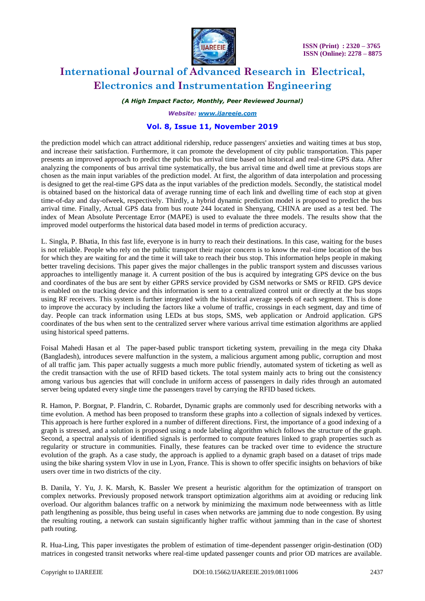

*(A High Impact Factor, Monthly, Peer Reviewed Journal)*

*Website: [www.ijareeie.com](http://www.ijareeie.com/)*

### **Vol. 8, Issue 11, November 2019**

the prediction model which can attract additional ridership, reduce passengers' anxieties and waiting times at bus stop, and increase their satisfaction. Furthermore, it can promote the development of city public transportation. This paper presents an improved approach to predict the public bus arrival time based on historical and real-time GPS data. After analyzing the components of bus arrival time systematically, the bus arrival time and dwell time at previous stops are chosen as the main input variables of the prediction model. At first, the algorithm of data interpolation and processing is designed to get the real-time GPS data as the input variables of the prediction models. Secondly, the statistical model is obtained based on the historical data of average running time of each link and dwelling time of each stop at given time-of-day and day-ofweek, respectively. Thirdly, a hybrid dynamic prediction model is proposed to predict the bus arrival time. Finally, Actual GPS data from bus route 244 located in Shenyang, CHINA are used as a test bed. The index of Mean Absolute Percentage Error (MAPE) is used to evaluate the three models. The results show that the improved model outperforms the historical data based model in terms of prediction accuracy.

L. Singla, P. Bhatia, In this fast life, everyone is in hurry to reach their destinations. In this case, waiting for the buses is not reliable. People who rely on the public transport their major concern is to know the real-time location of the bus for which they are waiting for and the time it will take to reach their bus stop. This information helps people in making better traveling decisions. This paper gives the major challenges in the public transport system and discusses various approaches to intelligently manage it. A current position of the bus is acquired by integrating GPS device on the bus and coordinates of the bus are sent by either GPRS service provided by GSM networks or SMS or RFID. GPS device is enabled on the tracking device and this information is sent to a centralized control unit or directly at the bus stops using RF receivers. This system is further integrated with the historical average speeds of each segment. This is done to improve the accuracy by including the factors like a volume of traffic, crossings in each segment, day and time of day. People can track information using LEDs at bus stops, SMS, web application or Android application. GPS coordinates of the bus when sent to the centralized server where various arrival time estimation algorithms are applied using historical speed patterns.

Foisal Mahedi Hasan et al The paper-based public transport ticketing system, prevailing in the mega city Dhaka (Bangladesh), introduces severe malfunction in the system, a malicious argument among public, corruption and most of all traffic jam. This paper actually suggests a much more public friendly, automated system of ticketing as well as the credit transaction with the use of RFID based tickets. The total system mainly acts to bring out the consistency among various bus agencies that will conclude in uniform access of passengers in daily rides through an automated server being updated every single time the passengers travel by carrying the RFID based tickets.

R. Hamon, P. Borgnat, P. Flandrin, C. Robardet, Dynamic graphs are commonly used for describing networks with a time evolution. A method has been proposed to transform these graphs into a collection of signals indexed by vertices. This approach is here further explored in a number of different directions. First, the importance of a good indexing of a graph is stressed, and a solution is proposed using a node labeling algorithm which follows the structure of the graph. Second, a spectral analysis of identified signals is performed to compute features linked to graph properties such as regularity or structure in communities. Finally, these features can be tracked over time to evidence the structure evolution of the graph. As a case study, the approach is applied to a dynamic graph based on a dataset of trips made using the bike sharing system Vlov in use in Lyon, France. This is shown to offer specific insights on behaviors of bike users over time in two districts of the city.

B. Danila, Y. Yu, J. K. Marsh, K. Bassler We present a heuristic algorithm for the optimization of transport on complex networks. Previously proposed network transport optimization algorithms aim at avoiding or reducing link overload. Our algorithm balances traffic on a network by minimizing the maximum node betweenness with as little path lengthening as possible, thus being useful in cases when networks are jamming due to node congestion. By using the resulting routing, a network can sustain significantly higher traffic without jamming than in the case of shortest path routing.

R. Hua-Ling, This paper investigates the problem of estimation of time-dependent passenger origin-destination (OD) matrices in congested transit networks where real-time updated passenger counts and prior OD matrices are available.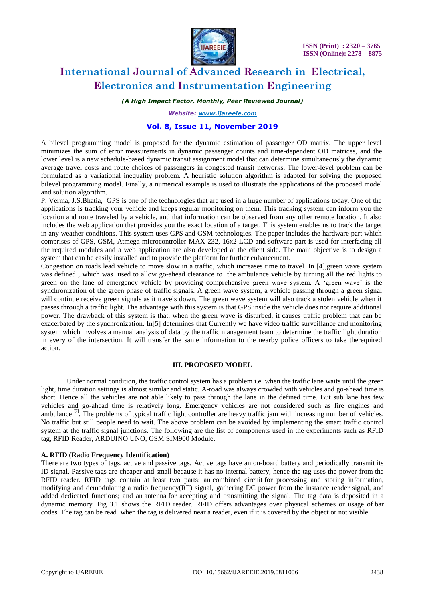

*(A High Impact Factor, Monthly, Peer Reviewed Journal)*

*Website: [www.ijareeie.com](http://www.ijareeie.com/)*

#### **Vol. 8, Issue 11, November 2019**

A bilevel programming model is proposed for the dynamic estimation of passenger OD matrix. The upper level minimizes the sum of error measurements in dynamic passenger counts and time-dependent OD matrices, and the lower level is a new schedule-based dynamic transit assignment model that can determine simultaneously the dynamic average travel costs and route choices of passengers in congested transit networks. The lower-level problem can be formulated as a variational inequality problem. A heuristic solution algorithm is adapted for solving the proposed bilevel programming model. Finally, a numerical example is used to illustrate the applications of the proposed model and solution algorithm.

P. Verma, J.S.Bhatia, GPS is one of the technologies that are used in a huge number of applications today. One of the applications is tracking your vehicle and keeps regular monitoring on them. This tracking system can inform you the location and route traveled by a vehicle, and that information can be observed from any other remote location. It also includes the web application that provides you the exact location of a target. This system enables us to track the target in any weather conditions. This system uses GPS and GSM technologies. The paper includes the hardware part which comprises of GPS, GSM, Atmega microcontroller MAX 232, 16x2 LCD and software part is used for interfacing all the required modules and a web application are also developed at the client side. The main objective is to design a system that can be easily installed and to provide the platform for further enhancement.

Congestion on roads lead vehicle to move slow in a traffic, which increases time to travel. In [4],green wave system was defined , which was used to allow go-ahead clearance to the ambulance vehicle by turning all the red lights to green on the lane of emergency vehicle by providing comprehensive green wave system. A 'green wave' is the synchronization of the green phase of traffic signals. A green wave system, a vehicle passing through a green signal will continue receive green signals as it travels down. The green wave system will also track a stolen vehicle when it passes through a traffic light. The advantage with this system is that GPS inside the vehicle does not require additional power. The drawback of this system is that, when the green wave is disturbed, it causes traffic problem that can be exacerbated by the synchronization. In[5] determines that Currently we have video traffic surveillance and monitoring system which involves a manual analysis of data by the traffic management team to determine the traffic light duration in every of the intersection. It will transfer the same information to the nearby police officers to take therequired action.

#### **III. PROPOSED MODEL**

Under normal condition, the traffic control system has a problem i.e. when the traffic lane waits until the green light, time duration settings is almost similar and static. A-road was always crowded with vehicles and go-ahead time is short. Hence all the vehicles are not able likely to pass through the lane in the defined time. But sub lane has few vehicles and go-ahead time is relatively long. Emergency vehicles are not considered such as fire engines and ambulance  $^{[7]}$ . The problems of typical traffic light controller are heavy traffic jam with increasing number of vehicles, No traffic but still people need to wait. The above problem can be avoided by implementing the smart traffic control system at the traffic signal junctions. The following are the list of components used in the experiments such as RFID tag, RFID Reader, ARDUINO UNO, GSM SIM900 Module.

#### **A. RFID (Radio Frequency Identification)**

There are two types of tags, active and passive tags. Active tags have an on-board battery and periodically transmit its ID signal. Passive tags are cheaper and small because it has no internal battery; hence the tag uses the power from the RFID reader. RFID tags contain at least two parts: an combined circuit for processing and storing information, modifying and demodulating a radio frequency(RF) signal, gathering DC power from the instance reader signal, and added dedicated functions; and an antenna for accepting and transmitting the signal. The tag data is deposited in a dynamic memory. Fig 3.1 shows the RFID reader. RFID offers advantages over physical schemes or usage of bar codes. The tag can be read when the tag is delivered near a reader, even if it is covered by the object or not visible.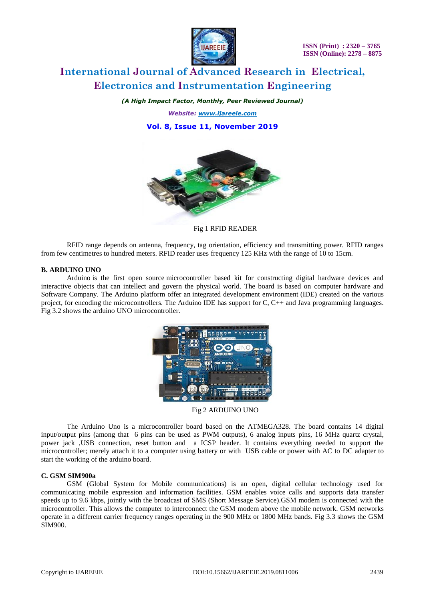

*(A High Impact Factor, Monthly, Peer Reviewed Journal) Website: [www.ijareeie.com](http://www.ijareeie.com/)*

**Vol. 8, Issue 11, November 2019**



Fig 1 RFID READER

RFID range depends on antenna, frequency, tag orientation, efficiency and transmitting power. RFID ranges from few centimetres to hundred meters. RFID reader uses frequency 125 KHz with the range of 10 to 15cm.

#### **B. ARDUINO UNO**

Arduino is the first open source microcontroller based kit for constructing digital hardware devices and interactive objects that can intellect and govern the physical world. The board is based on computer hardware and Software Company. The Arduino platform offer an integrated development environment (IDE) created on the various project, for encoding the microcontrollers. The Arduino IDE has support for  $C$ ,  $C_{++}$  and Java programming languages. Fig 3.2 shows the arduino UNO microcontroller.



Fig 2 ARDUINO UNO

The Arduino Uno is a microcontroller board based on the ATMEGA328. The board contains 14 digital input/output pins (among that 6 pins can be used as PWM outputs), 6 analog inputs pins, 16 MHz quartz crystal, power jack ,USB connection, reset button and a ICSP header. It contains everything needed to support the microcontroller; merely attach it to a computer using battery or with USB cable or power with AC to DC adapter to start the working of the arduino board.

#### **C. GSM SIM900a**

GSM (Global System for Mobile communications) is an open, digital cellular technology used for communicating mobile expression and information facilities. GSM enables voice calls and supports data transfer speeds up to 9.6 kbps, jointly with the broadcast of SMS (Short Message Service).GSM modem is connected with the microcontroller. This allows the computer to interconnect the GSM modem above the mobile network. GSM networks operate in a different carrier frequency ranges operating in the 900 MHz or 1800 MHz bands. Fig 3.3 shows the GSM SIM900.